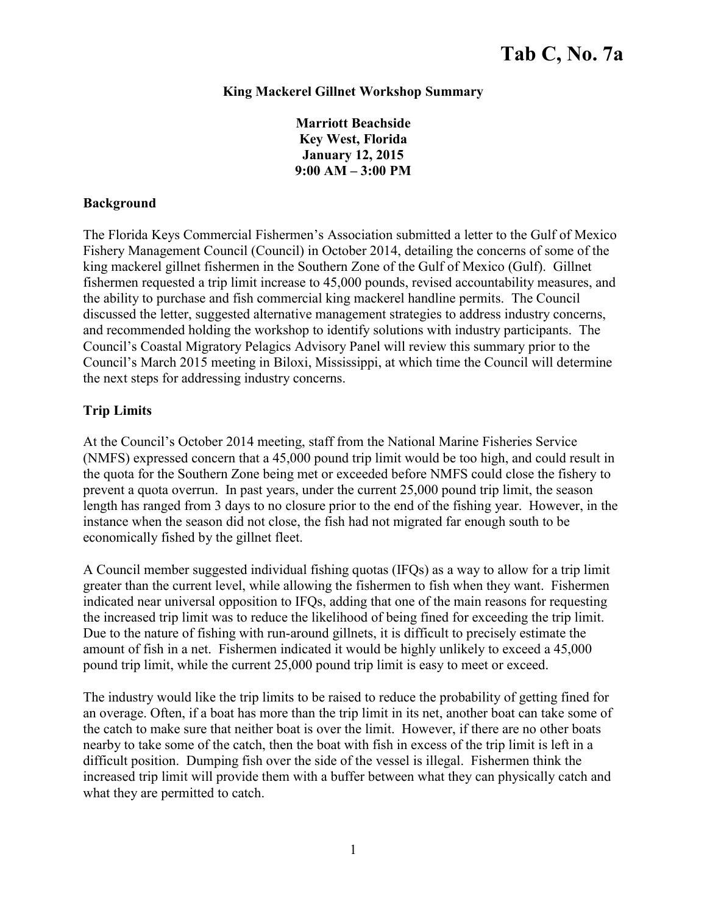## **King Mackerel Gillnet Workshop Summary**

**Marriott Beachside Key West, Florida January 12, 2015 9:00 AM – 3:00 PM** 

### **Background**

The Florida Keys Commercial Fishermen's Association submitted a letter to the Gulf of Mexico Fishery Management Council (Council) in October 2014, detailing the concerns of some of the king mackerel gillnet fishermen in the Southern Zone of the Gulf of Mexico (Gulf). Gillnet fishermen requested a trip limit increase to 45,000 pounds, revised accountability measures, and the ability to purchase and fish commercial king mackerel handline permits. The Council discussed the letter, suggested alternative management strategies to address industry concerns, and recommended holding the workshop to identify solutions with industry participants. The Council's Coastal Migratory Pelagics Advisory Panel will review this summary prior to the Council's March 2015 meeting in Biloxi, Mississippi, at which time the Council will determine the next steps for addressing industry concerns.

# **Trip Limits**

At the Council's October 2014 meeting, staff from the National Marine Fisheries Service (NMFS) expressed concern that a 45,000 pound trip limit would be too high, and could result in the quota for the Southern Zone being met or exceeded before NMFS could close the fishery to prevent a quota overrun. In past years, under the current 25,000 pound trip limit, the season length has ranged from 3 days to no closure prior to the end of the fishing year. However, in the instance when the season did not close, the fish had not migrated far enough south to be economically fished by the gillnet fleet.

A Council member suggested individual fishing quotas (IFQs) as a way to allow for a trip limit greater than the current level, while allowing the fishermen to fish when they want. Fishermen indicated near universal opposition to IFQs, adding that one of the main reasons for requesting the increased trip limit was to reduce the likelihood of being fined for exceeding the trip limit. Due to the nature of fishing with run-around gillnets, it is difficult to precisely estimate the amount of fish in a net. Fishermen indicated it would be highly unlikely to exceed a 45,000 pound trip limit, while the current 25,000 pound trip limit is easy to meet or exceed.

The industry would like the trip limits to be raised to reduce the probability of getting fined for an overage. Often, if a boat has more than the trip limit in its net, another boat can take some of the catch to make sure that neither boat is over the limit. However, if there are no other boats nearby to take some of the catch, then the boat with fish in excess of the trip limit is left in a difficult position. Dumping fish over the side of the vessel is illegal. Fishermen think the increased trip limit will provide them with a buffer between what they can physically catch and what they are permitted to catch.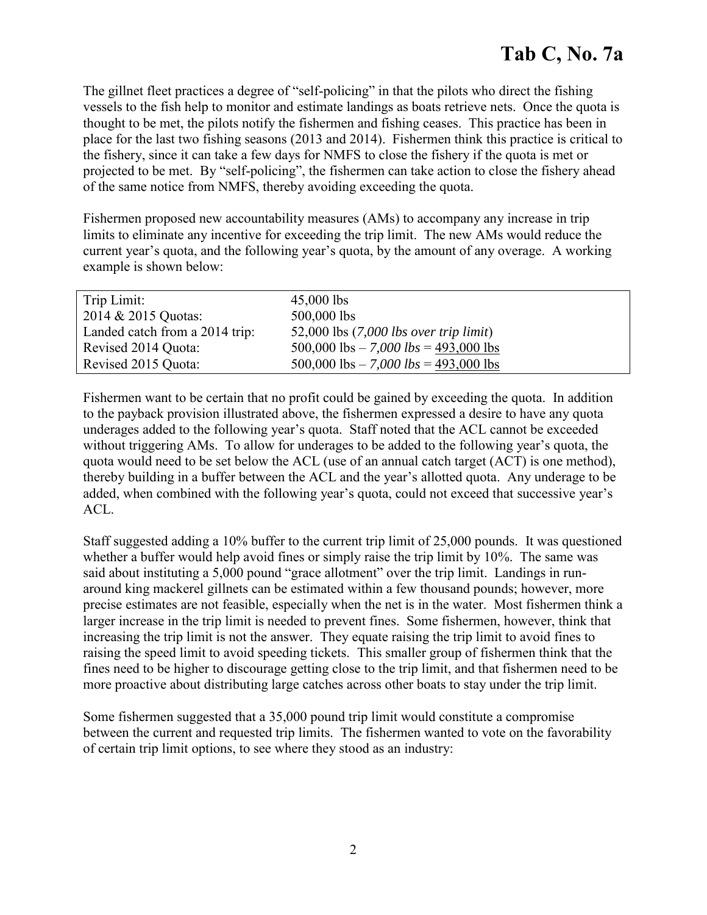The gillnet fleet practices a degree of "self-policing" in that the pilots who direct the fishing vessels to the fish help to monitor and estimate landings as boats retrieve nets. Once the quota is thought to be met, the pilots notify the fishermen and fishing ceases. This practice has been in place for the last two fishing seasons (2013 and 2014). Fishermen think this practice is critical to the fishery, since it can take a few days for NMFS to close the fishery if the quota is met or projected to be met. By "self-policing", the fishermen can take action to close the fishery ahead of the same notice from NMFS, thereby avoiding exceeding the quota.

Fishermen proposed new accountability measures (AMs) to accompany any increase in trip limits to eliminate any incentive for exceeding the trip limit. The new AMs would reduce the current year's quota, and the following year's quota, by the amount of any overage. A working example is shown below:

| Trip Limit:                    | $45,000$ lbs                              |
|--------------------------------|-------------------------------------------|
| 2014 & 2015 Quotas:            | 500,000 lbs                               |
| Landed catch from a 2014 trip: | 52,000 lbs $(7,000$ lbs over trip limit)  |
| Revised 2014 Quota:            | 500,000 lbs $- 7,000$ lbs $= 493,000$ lbs |
| Revised 2015 Quota:            | 500,000 lbs $- 7,000$ lbs $= 493,000$ lbs |

Fishermen want to be certain that no profit could be gained by exceeding the quota. In addition to the payback provision illustrated above, the fishermen expressed a desire to have any quota underages added to the following year's quota. Staff noted that the ACL cannot be exceeded without triggering AMs. To allow for underages to be added to the following year's quota, the quota would need to be set below the ACL (use of an annual catch target (ACT) is one method), thereby building in a buffer between the ACL and the year's allotted quota. Any underage to be added, when combined with the following year's quota, could not exceed that successive year's ACL.

Staff suggested adding a 10% buffer to the current trip limit of 25,000 pounds. It was questioned whether a buffer would help avoid fines or simply raise the trip limit by 10%. The same was said about instituting a 5,000 pound "grace allotment" over the trip limit. Landings in runaround king mackerel gillnets can be estimated within a few thousand pounds; however, more precise estimates are not feasible, especially when the net is in the water. Most fishermen think a larger increase in the trip limit is needed to prevent fines. Some fishermen, however, think that increasing the trip limit is not the answer. They equate raising the trip limit to avoid fines to raising the speed limit to avoid speeding tickets. This smaller group of fishermen think that the fines need to be higher to discourage getting close to the trip limit, and that fishermen need to be more proactive about distributing large catches across other boats to stay under the trip limit.

Some fishermen suggested that a 35,000 pound trip limit would constitute a compromise between the current and requested trip limits. The fishermen wanted to vote on the favorability of certain trip limit options, to see where they stood as an industry: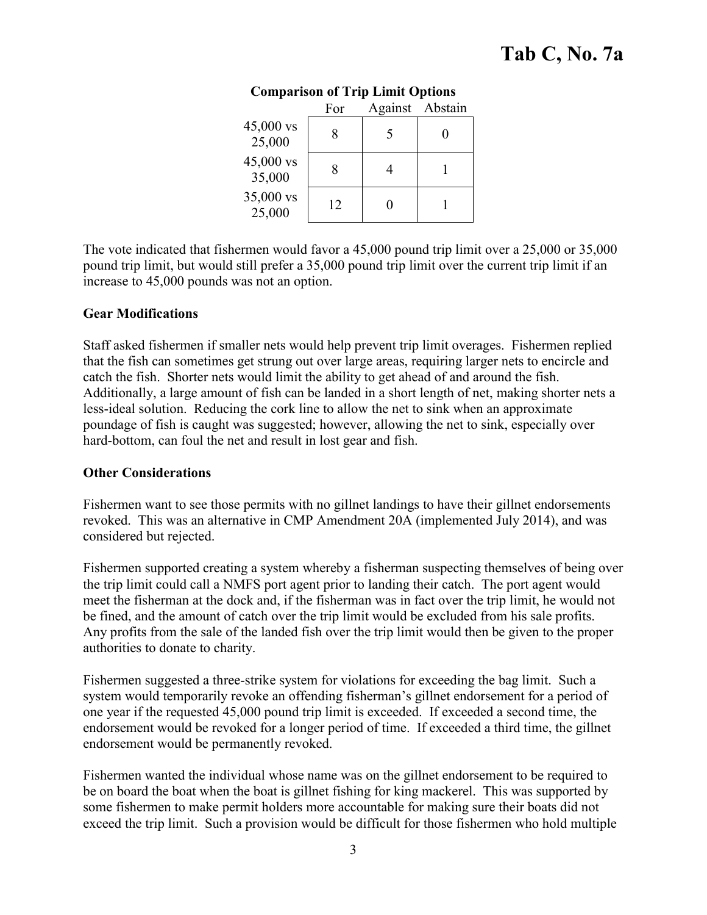|                     | For | Against Abstain |  |
|---------------------|-----|-----------------|--|
| 45,000 vs<br>25,000 |     |                 |  |
| 45,000 vs<br>35,000 |     |                 |  |
| 35,000 vs<br>25,000 | 12  |                 |  |

## **Comparison of Trip Limit Options**

The vote indicated that fishermen would favor a 45,000 pound trip limit over a 25,000 or 35,000 pound trip limit, but would still prefer a 35,000 pound trip limit over the current trip limit if an increase to 45,000 pounds was not an option.

### **Gear Modifications**

Staff asked fishermen if smaller nets would help prevent trip limit overages. Fishermen replied that the fish can sometimes get strung out over large areas, requiring larger nets to encircle and catch the fish. Shorter nets would limit the ability to get ahead of and around the fish. Additionally, a large amount of fish can be landed in a short length of net, making shorter nets a less-ideal solution. Reducing the cork line to allow the net to sink when an approximate poundage of fish is caught was suggested; however, allowing the net to sink, especially over hard-bottom, can foul the net and result in lost gear and fish.

#### **Other Considerations**

Fishermen want to see those permits with no gillnet landings to have their gillnet endorsements revoked. This was an alternative in CMP Amendment 20A (implemented July 2014), and was considered but rejected.

Fishermen supported creating a system whereby a fisherman suspecting themselves of being over the trip limit could call a NMFS port agent prior to landing their catch. The port agent would meet the fisherman at the dock and, if the fisherman was in fact over the trip limit, he would not be fined, and the amount of catch over the trip limit would be excluded from his sale profits. Any profits from the sale of the landed fish over the trip limit would then be given to the proper authorities to donate to charity.

Fishermen suggested a three-strike system for violations for exceeding the bag limit. Such a system would temporarily revoke an offending fisherman's gillnet endorsement for a period of one year if the requested 45,000 pound trip limit is exceeded. If exceeded a second time, the endorsement would be revoked for a longer period of time. If exceeded a third time, the gillnet endorsement would be permanently revoked.

Fishermen wanted the individual whose name was on the gillnet endorsement to be required to be on board the boat when the boat is gillnet fishing for king mackerel. This was supported by some fishermen to make permit holders more accountable for making sure their boats did not exceed the trip limit. Such a provision would be difficult for those fishermen who hold multiple